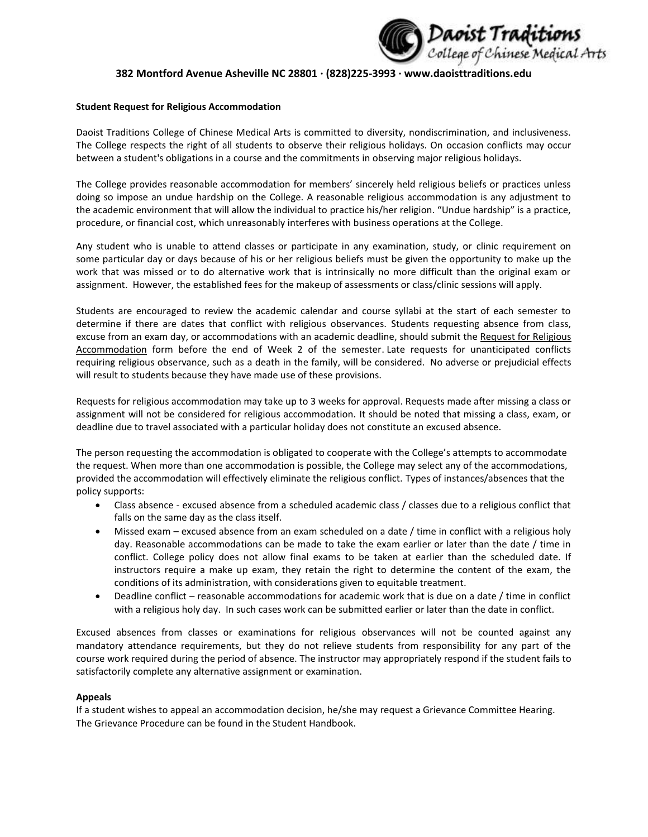

# **382 Montford Avenue Asheville NC 28801 ∙ (828)225-3993 ∙ www.daoisttraditions.edu**

### **Student Request for Religious Accommodation**

Daoist Traditions College of Chinese Medical Arts is committed to diversity, nondiscrimination, and inclusiveness. The College respects the right of all students to observe their religious holidays. On occasion conflicts may occur between a student's obligations in a course and the commitments in observing major religious holidays.

The College provides reasonable accommodation for members' sincerely held religious beliefs or practices unless doing so impose an undue hardship on the College. A reasonable religious accommodation is any adjustment to the academic environment that will allow the individual to practice his/her religion. "Undue hardship" is a practice, procedure, or financial cost, which unreasonably interferes with business operations at the College.

Any student who is unable to attend classes or participate in any examination, study, or clinic requirement on some particular day or days because of his or her religious beliefs must be given the opportunity to make up the work that was missed or to do alternative work that is intrinsically no more difficult than the original exam or assignment. However, the established fees for the makeup of assessments or class/clinic sessions will apply.

Students are encouraged to review the academic calendar and course syllabi at the start of each semester to determine if there are dates that conflict with religious observances. Students requesting absence from class, excuse from an exam day, or accommodations with an academic deadline, should submit the Request for Religious Accommodation form before the end of Week 2 of the semester. Late requests for unanticipated conflicts requiring religious observance, such as a death in the family, will be considered. No adverse or prejudicial effects will result to students because they have made use of these provisions.

Requests for religious accommodation may take up to 3 weeks for approval. Requests made after missing a class or assignment will not be considered for religious accommodation. It should be noted that missing a class, exam, or deadline due to travel associated with a particular holiday does not constitute an excused absence.

The person requesting the accommodation is obligated to cooperate with the College's attempts to accommodate the request. When more than one accommodation is possible, the College may select any of the accommodations, provided the accommodation will effectively eliminate the religious conflict. Types of instances/absences that the policy supports:

- Class absence excused absence from a scheduled academic class / classes due to a religious conflict that falls on the same day as the class itself.
- Missed exam excused absence from an exam scheduled on a date / time in conflict with a religious holy day. Reasonable accommodations can be made to take the exam earlier or later than the date / time in conflict. College policy does not allow final exams to be taken at earlier than the scheduled date. If instructors require a make up exam, they retain the right to determine the content of the exam, the conditions of its administration, with considerations given to equitable treatment.
- Deadline conflict reasonable accommodations for academic work that is due on a date / time in conflict with a religious holy day. In such cases work can be submitted earlier or later than the date in conflict.

Excused absences from classes or examinations for religious observances will not be counted against any mandatory attendance requirements, but they do not relieve students from responsibility for any part of the course work required during the period of absence. The instructor may appropriately respond if the student fails to satisfactorily complete any alternative assignment or examination.

### **Appeals**

If a student wishes to appeal an accommodation decision, he/she may request a Grievance Committee Hearing. The Grievance Procedure can be found in the Student Handbook.